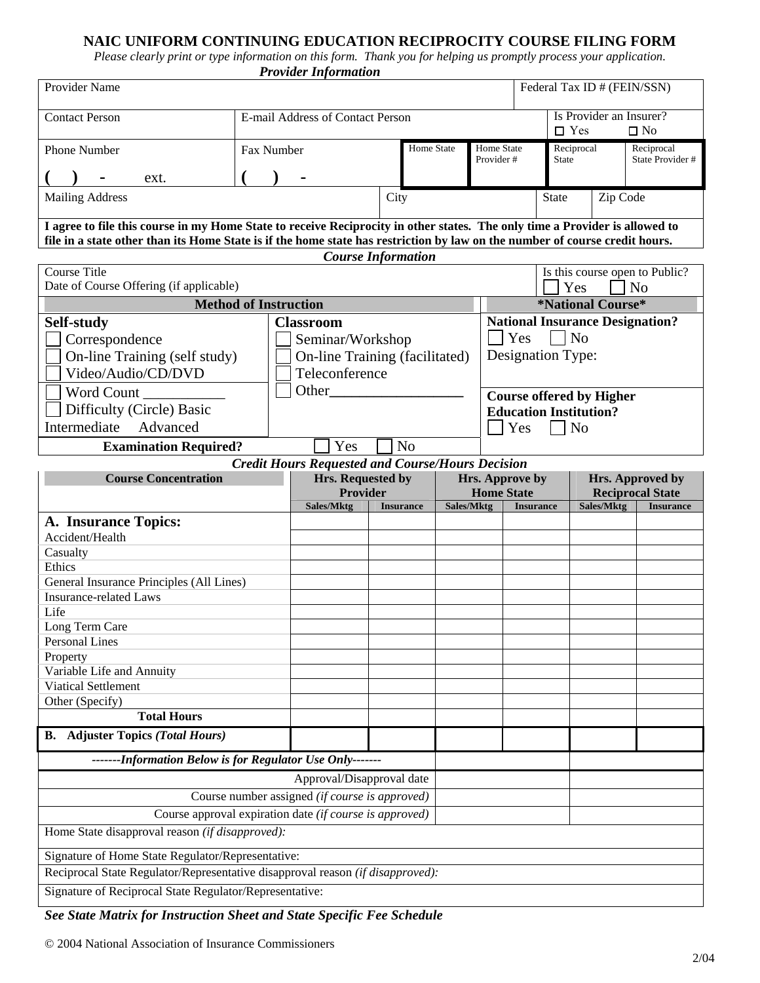# **NAIC UNIFORM CONTINUING EDUCATION RECIPROCITY COURSE FILING FORM**

*Please clearly print or type information on this form. Thank you for helping us promptly process your application. Provider Information* 

| <b>THOMAS THOMAS</b>             |                                  |  |            |                         |  |                            |                                                       |                                |  |  |  |  |
|----------------------------------|----------------------------------|--|------------|-------------------------|--|----------------------------|-------------------------------------------------------|--------------------------------|--|--|--|--|
| Provider Name                    |                                  |  |            |                         |  |                            |                                                       | Federal Tax ID # (FEIN/SSN)    |  |  |  |  |
| <b>Contact Person</b>            | E-mail Address of Contact Person |  |            |                         |  |                            | Is Provider an Insurer?<br>$\Box$ Yes<br>$\square$ No |                                |  |  |  |  |
| <b>Phone Number</b><br>ext.<br>۰ | Fax Number                       |  | Home State | Home State<br>Provider# |  | Reciprocal<br><b>State</b> |                                                       | Reciprocal<br>State Provider # |  |  |  |  |
| <b>Mailing Address</b>           |                                  |  | City       |                         |  | Zip Code<br><b>State</b>   |                                                       |                                |  |  |  |  |

**I agree to file this course in my Home State to receive Reciprocity in other states. The only time a Provider is allowed to file in a state other than its Home State is if the home state has restriction by law on the number of course credit hours.** 

|                                                                             |                                |                                                         | <b>Course Information</b> |                                              |                                 |                                        |                                             |                  |  |  |  |
|-----------------------------------------------------------------------------|--------------------------------|---------------------------------------------------------|---------------------------|----------------------------------------------|---------------------------------|----------------------------------------|---------------------------------------------|------------------|--|--|--|
| <b>Course Title</b>                                                         |                                |                                                         |                           |                                              |                                 | Is this course open to Public?         |                                             |                  |  |  |  |
| Date of Course Offering (if applicable)                                     |                                |                                                         |                           |                                              |                                 | N <sub>o</sub><br>Yes                  |                                             |                  |  |  |  |
| <b>Method of Instruction</b>                                                |                                |                                                         |                           |                                              | <i><b>*National Course*</b></i> |                                        |                                             |                  |  |  |  |
| Self-study                                                                  | <b>Classroom</b>               |                                                         |                           |                                              |                                 | <b>National Insurance Designation?</b> |                                             |                  |  |  |  |
| Correspondence                                                              | Seminar/Workshop               |                                                         |                           |                                              |                                 | <b>Yes</b><br>$\overline{N}$           |                                             |                  |  |  |  |
| On-line Training (self study)                                               | On-line Training (facilitated) |                                                         |                           |                                              |                                 | Designation Type:                      |                                             |                  |  |  |  |
| Video/Audio/CD/DVD                                                          |                                |                                                         |                           |                                              |                                 |                                        |                                             |                  |  |  |  |
| Word Count                                                                  | Other                          |                                                         |                           |                                              | <b>Course offered by Higher</b> |                                        |                                             |                  |  |  |  |
| Difficulty (Circle) Basic                                                   |                                |                                                         |                           |                                              | <b>Education Institution?</b>   |                                        |                                             |                  |  |  |  |
| Intermediate<br>Advanced                                                    |                                |                                                         |                           | N <sub>o</sub><br><b>Yes</b><br>$\mathsf{L}$ |                                 |                                        |                                             |                  |  |  |  |
| <b>Examination Required?</b>                                                |                                | Yes                                                     | N <sub>o</sub>            |                                              |                                 |                                        |                                             |                  |  |  |  |
|                                                                             |                                | <b>Credit Hours Requested and Course/Hours Decision</b> |                           |                                              |                                 |                                        |                                             |                  |  |  |  |
| <b>Course Concentration</b>                                                 |                                | Hrs. Requested by                                       |                           |                                              |                                 | Hrs. Approve by                        |                                             |                  |  |  |  |
|                                                                             |                                | <b>Provider</b>                                         |                           |                                              | <b>Home State</b>               |                                        | Hrs. Approved by<br><b>Reciprocal State</b> |                  |  |  |  |
|                                                                             |                                | Sales/Mktg                                              | <b>Insurance</b>          | <b>Sales/Mktg</b>                            |                                 | <b>Insurance</b>                       | Sales/Mktg                                  | <b>Insurance</b> |  |  |  |
| A. Insurance Topics:                                                        |                                |                                                         |                           |                                              |                                 |                                        |                                             |                  |  |  |  |
| Accident/Health                                                             |                                |                                                         |                           |                                              |                                 |                                        |                                             |                  |  |  |  |
| Casualty                                                                    |                                |                                                         |                           |                                              |                                 |                                        |                                             |                  |  |  |  |
| Ethics                                                                      |                                |                                                         |                           |                                              |                                 |                                        |                                             |                  |  |  |  |
| General Insurance Principles (All Lines)                                    |                                |                                                         |                           |                                              |                                 |                                        |                                             |                  |  |  |  |
| <b>Insurance-related Laws</b>                                               |                                |                                                         |                           |                                              |                                 |                                        |                                             |                  |  |  |  |
| Life                                                                        |                                |                                                         |                           |                                              |                                 |                                        |                                             |                  |  |  |  |
| Long Term Care                                                              |                                |                                                         |                           |                                              |                                 |                                        |                                             |                  |  |  |  |
| <b>Personal Lines</b>                                                       |                                |                                                         |                           |                                              |                                 |                                        |                                             |                  |  |  |  |
| Property                                                                    |                                |                                                         |                           |                                              |                                 |                                        |                                             |                  |  |  |  |
| Variable Life and Annuity<br><b>Viatical Settlement</b>                     |                                |                                                         |                           |                                              |                                 |                                        |                                             |                  |  |  |  |
| Other (Specify)                                                             |                                |                                                         |                           |                                              |                                 |                                        |                                             |                  |  |  |  |
| <b>Total Hours</b>                                                          |                                |                                                         |                           |                                              |                                 |                                        |                                             |                  |  |  |  |
| <b>B.</b> Adjuster Topics (Total Hours)                                     |                                |                                                         |                           |                                              |                                 |                                        |                                             |                  |  |  |  |
| -------Information Below is for Regulator Use Only-------                   |                                |                                                         |                           |                                              |                                 |                                        |                                             |                  |  |  |  |
|                                                                             |                                |                                                         |                           |                                              |                                 |                                        |                                             |                  |  |  |  |
| Approval/Disapproval date<br>Course number assigned (if course is approved) |                                |                                                         |                           |                                              |                                 |                                        |                                             |                  |  |  |  |
| Course approval expiration date (if course is approved)                     |                                |                                                         |                           |                                              |                                 |                                        |                                             |                  |  |  |  |
| Home State disapproval reason (if disapproved):                             |                                |                                                         |                           |                                              |                                 |                                        |                                             |                  |  |  |  |
|                                                                             |                                |                                                         |                           |                                              |                                 |                                        |                                             |                  |  |  |  |
| Signature of Home State Regulator/Representative:                           |                                |                                                         |                           |                                              |                                 |                                        |                                             |                  |  |  |  |

In the contract of the contract of the contract of the contract of the contract of the contract of the contract of the contract of the contract of the contract of the contract of the contract of the contract of the contra

Reciprocal State Regulator/Representative disapproval reason *(if disapproved):* 

Signature of Reciprocal State Regulator/Representative:

*See State Matrix for Instruction Sheet and State Specific Fee Schedule* 

-